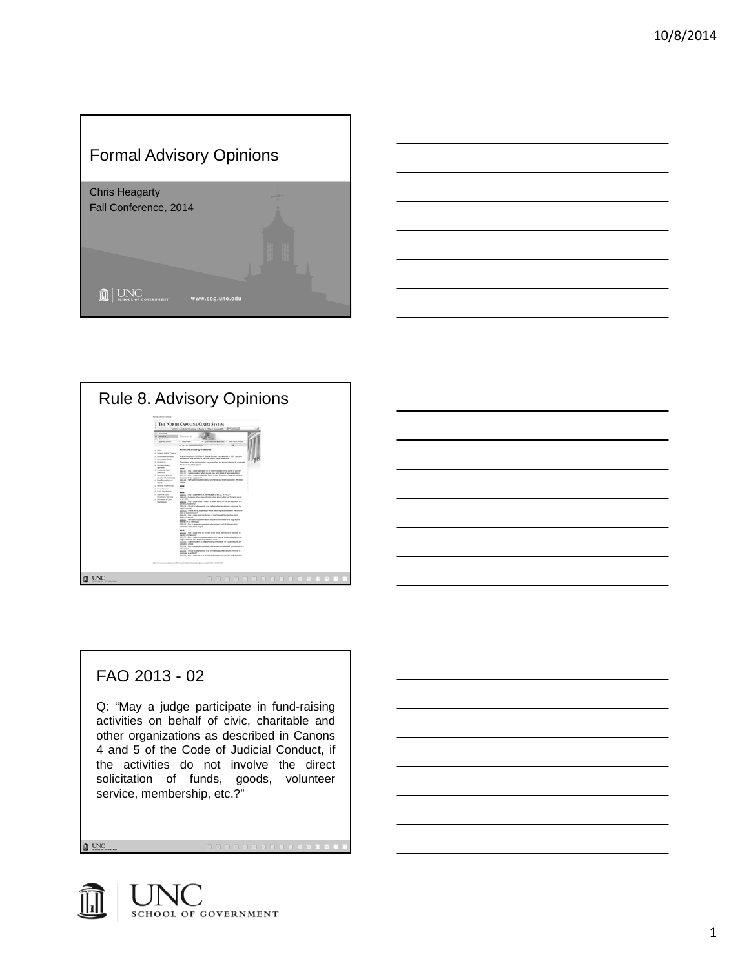# Formal Advisory Opinions









## FAO 2013 - 02

Q: "May a judge participate in fund-raising activities on behalf of civic, charitable and other organizations as described in Canons 4 and 5 of the Code of Judicial Conduct, if the activities do not involve the direct solicitation of funds, goods, volunteer service, membership, etc.?"

 $\mathbf{R}$  UNC

SCHOOL OF GOVERNMENT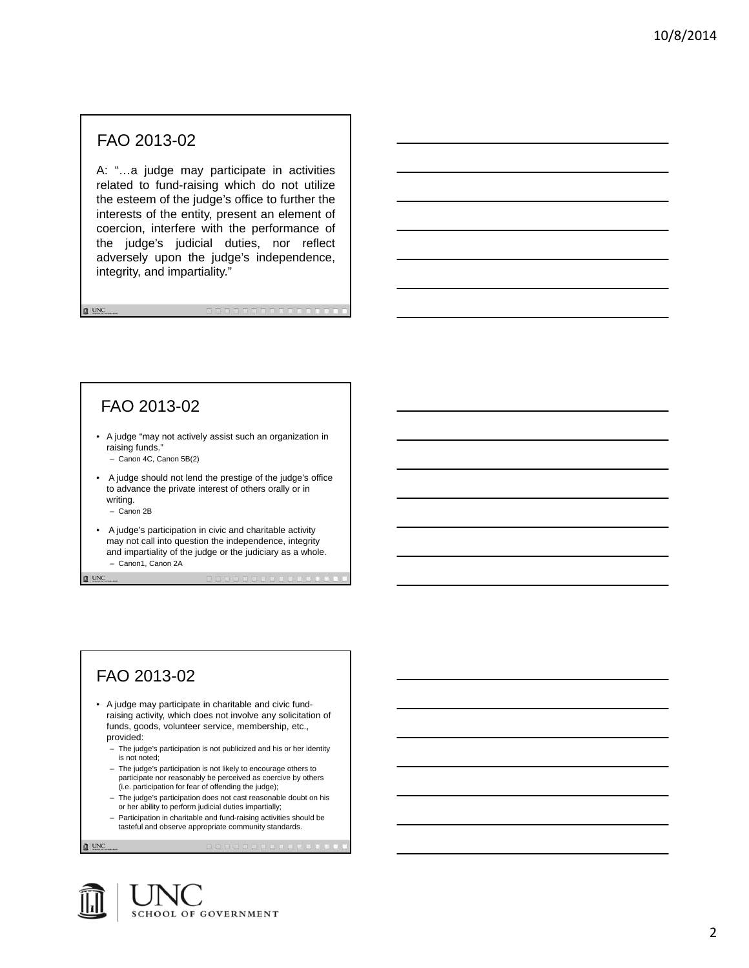### FAO 2013-02

A: "…a judge may participate in activities related to fund-raising which do not utilize the esteem of the judge's office to further the interests of the entity, present an element of coercion, interfere with the performance of the judge's judicial duties, nor reflect adversely upon the judge's independence, integrity, and impartiality."

## FAO 2013-02

• A judge "may not actively assist such an organization in raising funds."

– Canon 4C, Canon 5B(2)

• A judge should not lend the prestige of the judge's office to advance the private interest of others orally or in writing.

– Canon 2B

 $\mathbf{R}$  | UNC

 $\mathbf{R}$  UNC

• A judge's participation in civic and charitable activity may not call into question the independence, integrity and impartiality of the judge or the judiciary as a whole. – Canon1, Canon 2A

## FAO 2013-02

• A judge may participate in charitable and civic fundraising activity, which does not involve any solicitation of funds, goods, volunteer service, membership, etc., provided:

– The judge's participation is not publicized and his or her identity is not noted;

– The judge's participation is not likely to encourage others to participate nor reasonably be perceived as coercive by others (i.e. participation for fear of offending the judge);

- The judge's participation does not cast reasonable doubt on his or her ability to perform judicial duties impartially;
- Participation in charitable and fund-raising activities should be tasteful and observe appropriate community standards.

 $\mathbb{R}$  | UNC

**SCHOOL OF GOVERNMENT**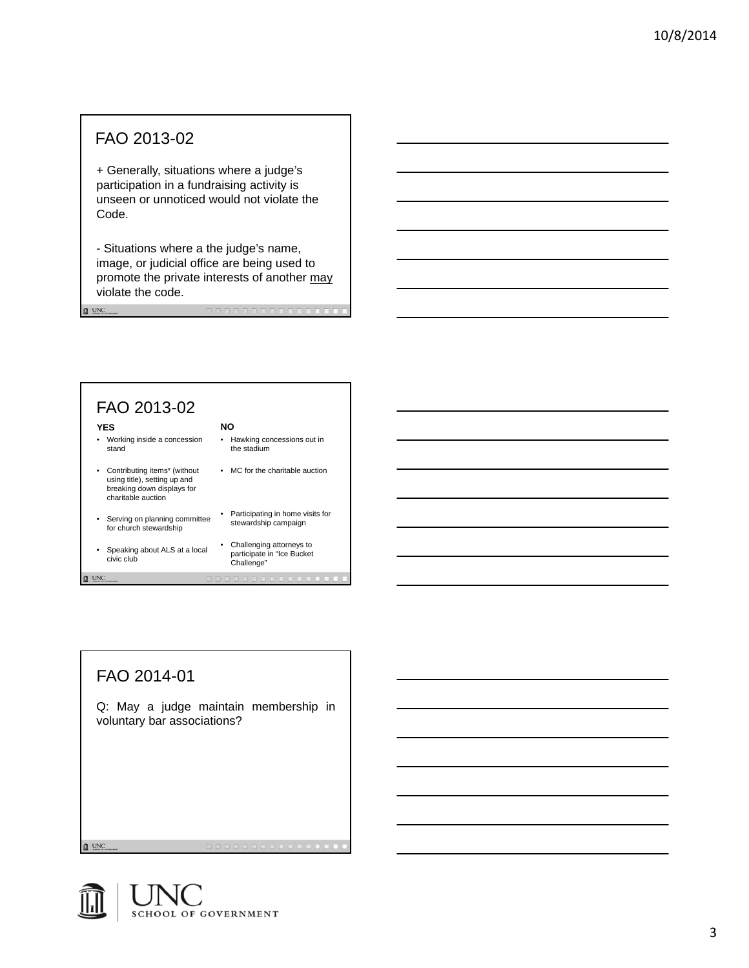### FAO 2013-02

 $\mathbf{R}$  UNC

+ Generally, situations where a judge's participation in a fundraising activity is unseen or unnoticed would not violate the Code.

- Situations where a the judge's name, image, or judicial office are being used to promote the private interests of another may violate the code.



# FAO 2014-01

Q: May a judge maintain membership in voluntary bar associations?

 $\mathbf{R}$  | UNC

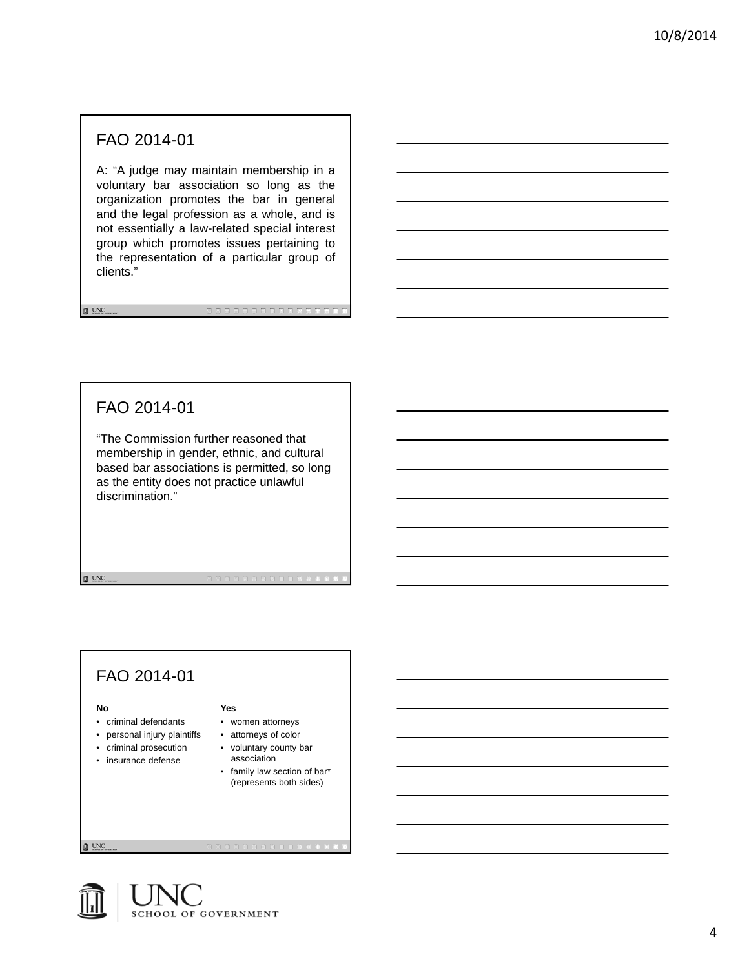A: "A judge may maintain membership in a voluntary bar association so long as the organization promotes the bar in general and the legal profession as a whole, and is not essentially a law-related special interest group which promotes issues pertaining to the representation of a particular group of clients."

## FAO 2014-01

 $\mathbf{R}$  UNC

"The Commission further reasoned that membership in gender, ethnic, and cultural based bar associations is permitted, so long as the entity does not practice unlawful discrimination."

## FAO 2014-01

#### **No**

 $\mathbf{R}$  | UNC

- criminal defendants
- personal injury plaintiffs
- criminal prosecution
- insurance defense
- attorneys of color • voluntary county bar association

• women attorneys

**Yes**

• family law section of bar\* (represents both sides)

. . . . . . . . . . .

 $\mathbb{R}$  | UNC

**SCHOOL OF GOVERNMENT**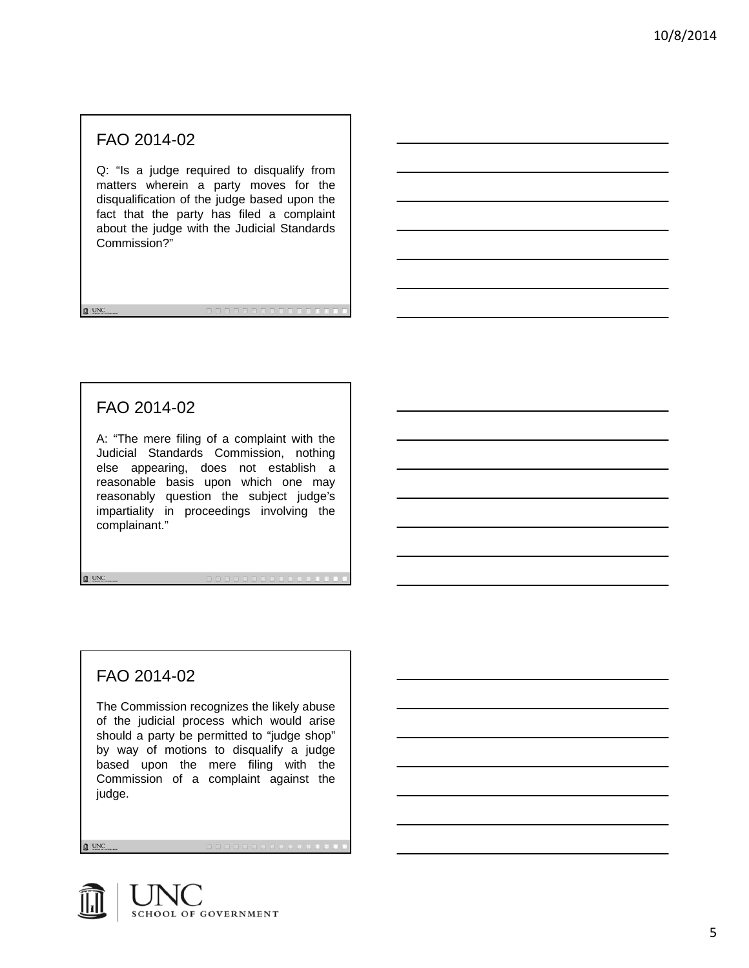Q: "Is a judge required to disqualify from matters wherein a party moves for the disqualification of the judge based upon the fact that the party has filed a complaint about the judge with the Judicial Standards Commission?"

### FAO 2014-02

 $\mathbf{R}$  UNC

A: "The mere filing of a complaint with the Judicial Standards Commission, nothing else appearing, does not establish a reasonable basis upon which one may reasonably question the subject judge's impartiality in proceedings involving the complainant."

## FAO 2014-02

The Commission recognizes the likely abuse of the judicial process which would arise should a party be permitted to "judge shop" by way of motions to disqualify a judge based upon the mere filing with the Commission of a complaint against the judge.

a de la concelho de la concelho de la concelho de la concelho de la concelho de la concelho de la concelho de la

 $\mathbf{R}$  | UNC

 $\mathbf{B}$  | UNC

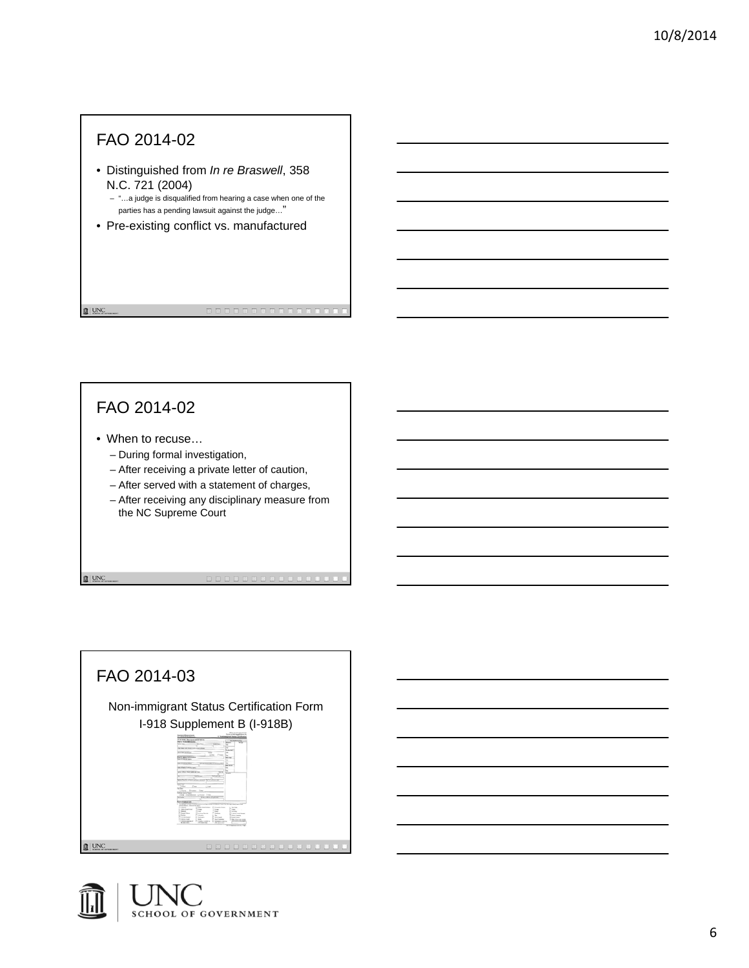- Distinguished from *In re Braswell*, 358 N.C. 721 (2004)
	- "…a judge is disqualified from hearing a case when one of the parties has a pending lawsuit against the judge…"
- Pre-existing conflict vs. manufactured

## FAO 2014-02

 $\mathbf{R}$  | UNC

 $\mathbf{R}$  | UNC

- When to recuse…
	- During formal investigation,
	- After receiving a private letter of caution,
	- After served with a statement of charges,
	- After receiving any disciplinary measure from the NC Supreme Court



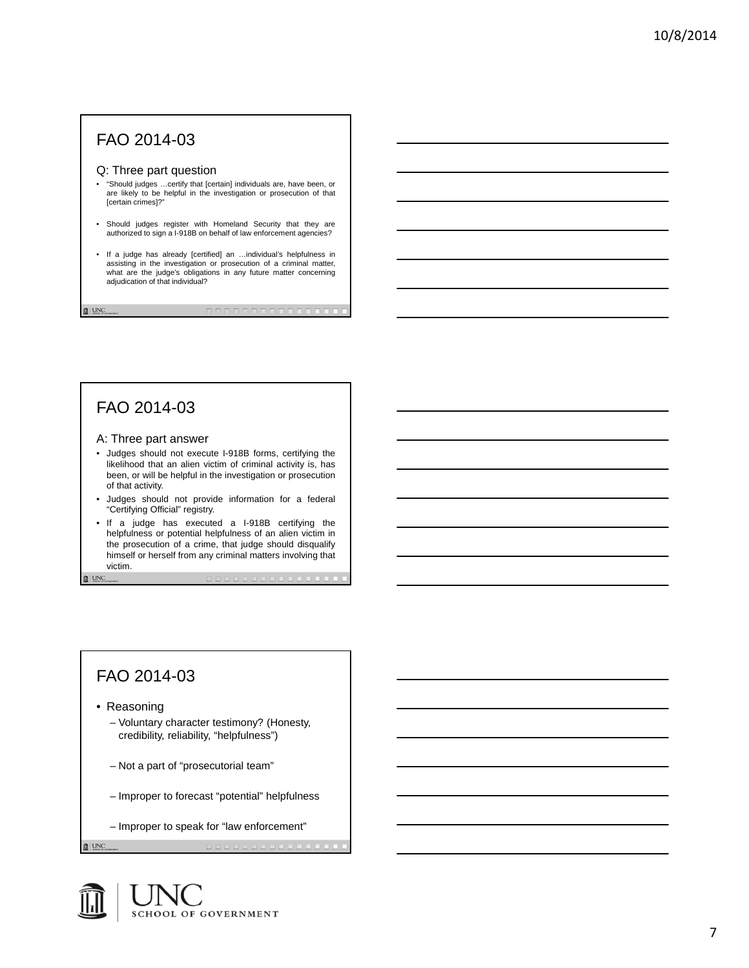#### Q: Three part question

- "Should judges …certify that [certain] individuals are, have been, or are likely to be helpful in the investigation or prosecution of that [certain crimes]?"
- Should judges register with Homeland Security that they are authorized to sign a I-918B on behalf of law enforcement agencies?
- If a judge has already [certified] an …individual's helpfulness in assisting in the investigation or prosecution of a criminal matter, what are the judge's obligations in any future matter concerning adjudication of that individual?

#### FAO 2014-03

 $\mathbf{R}$  UNC

 $\mathbf{0}$  | UNC

#### A: Three part answer

- Judges should not execute I-918B forms, certifying the likelihood that an alien victim of criminal activity is, has been, or will be helpful in the investigation or prosecution of that activity.
- Judges should not provide information for a federal "Certifying Official" registry.
- If a judge has executed a I-918B certifying the helpfulness or potential helpfulness of an alien victim in the prosecution of a crime, that judge should disqualify himself or herself from any criminal matters involving that victim.

### FAO 2014-03

• Reasoning

- Voluntary character testimony? (Honesty, credibility, reliability, "helpfulness")
- Not a part of "prosecutorial team"
- Improper to forecast "potential" helpfulness
- Improper to speak for "law enforcement"

 $\mathbb{R}$  | UNC

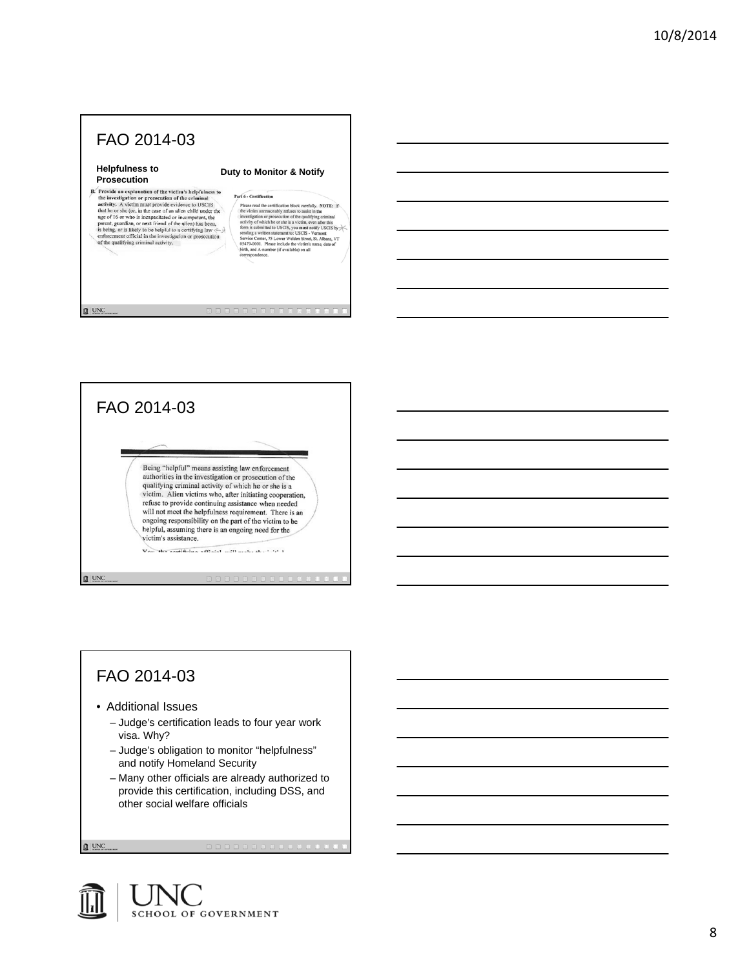#### **Helpfulness to Prosecution**

#### **Duty to Monitor & Notify**

**FT OSECUTION**<br> **EXECUTION**<br> **EXECUTION**<br> **C** from explanation of the victim's helpfulness to<br>
the investigation or prosecution of the eriminal<br>
activity, A victim must provide evidence to USCIS<br>
but he or she (or, in the

Part 6 - Certification **FT 6** - Certification block carefully. NOTE: If<br>  $\mathbf{F}^{\text{H}}$  The victim unreasonably refuses to assist in the size<br>
the victim unreasonably refuses to assist in the control investigation or prosecution of the qualifyi

 $\hfill \blacksquare$ 



## FAO 2014-03

- Additional Issues
	- Judge's certification leads to four year work visa. Why?
	- Judge's obligation to monitor "helpfulness" and notify Homeland Security
	- Many other officials are already authorized to provide this certification, including DSS, and other social welfare officials

 $\mathbf{B}$  | UNC